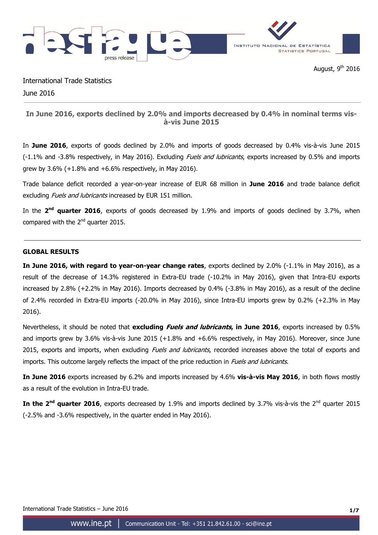

International Trade Statistics June 2016

# **In June 2016, exports declined by 2.0% and imports decreased by 0.4% in nominal terms visà-vis June 2015**

In **June 2016**, exports of goods declined by 2.0% and imports of goods decreased by 0.4% vis-à-vis June 2015 (-1.1% and -3.8% respectively, in May 2016). Excluding *Fuels and lubricants*, exports increased by 0.5% and imports grew by 3.6% (+1.8% and +6.6% respectively, in May 2016).

Trade balance deficit recorded a year-on-year increase of EUR 68 million in **June 2016** and trade balance deficit excluding *Fuels and lubricants* increased by EUR 151 million.

In the 2<sup>nd</sup> quarter 2016, exports of goods decreased by 1.9% and imports of goods declined by 3.7%, when compared with the  $2<sup>nd</sup>$  quarter 2015.

## **GLOBAL RESULTS**

**In June 2016, with regard to year-on-year change rates**, exports declined by 2.0% (-1.1% in May 2016), as a result of the decrease of 14.3% registered in Extra-EU trade (-10.2% in May 2016), given that Intra-EU exports increased by 2.8% (+2.2% in May 2016). Imports decreased by 0.4% (-3.8% in May 2016), as a result of the decline of 2.4% recorded in Extra-EU imports (-20.0% in May 2016), since Intra-EU imports grew by 0.2% (+2.3% in May 2016).

Nevertheless, it should be noted that **excluding Fuels and lubricants, in June 2016**, exports increased by 0.5% and imports grew by 3.6% vis-à-vis June 2015 (+1.8% and +6.6% respectively, in May 2016). Moreover, since June 2015, exports and imports, when excluding Fuels and lubricants, recorded increases above the total of exports and imports. This outcome largely reflects the impact of the price reduction in *Fuels and lubricants*.

**In June 2016** exports increased by 6.2% and imports increased by 4.6% **vis-à-vis May 2016**, in both flows mostly as a result of the evolution in Intra-EU trade.

In the 2<sup>nd</sup> quarter 2016, exports decreased by 1.9% and imports declined by 3.7% vis-à-vis the 2<sup>nd</sup> quarter 2015 (-2.5% and -3.6% respectively, in the quarter ended in May 2016).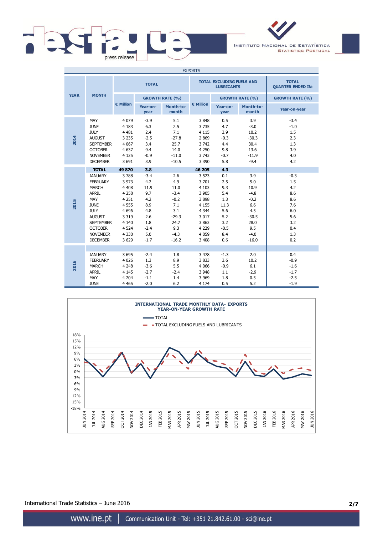

INSTITUTO NACIONAL DE ESTATÍSTICA **STATISTICS PORTUGAL** 

| <b>EXPORTS</b> |                                                                                                                                                                                                                     |                                                                                                                                        |                                                                                                   |                                                                                                     |                                                                                                                                     |                                                                                             |                                                                                                     |                                                                                     |
|----------------|---------------------------------------------------------------------------------------------------------------------------------------------------------------------------------------------------------------------|----------------------------------------------------------------------------------------------------------------------------------------|---------------------------------------------------------------------------------------------------|-----------------------------------------------------------------------------------------------------|-------------------------------------------------------------------------------------------------------------------------------------|---------------------------------------------------------------------------------------------|-----------------------------------------------------------------------------------------------------|-------------------------------------------------------------------------------------|
|                |                                                                                                                                                                                                                     | <b>TOTAL</b>                                                                                                                           |                                                                                                   |                                                                                                     |                                                                                                                                     | <b>TOTAL EXCLUDING FUELS AND</b><br><b>LUBRICANTS</b>                                       | <b>TOTAL</b><br><b>QUARTER ENDED IN:</b>                                                            |                                                                                     |
| <b>YEAR</b>    | <b>MONTH</b>                                                                                                                                                                                                        |                                                                                                                                        | <b>GROWTH RATE (%)</b>                                                                            |                                                                                                     |                                                                                                                                     |                                                                                             | <b>GROWTH RATE (%)</b>                                                                              | <b>GROWTH RATE (%)</b>                                                              |
|                |                                                                                                                                                                                                                     | € Million                                                                                                                              | Year-on-<br>year                                                                                  | Month-to-<br>month                                                                                  | € Million                                                                                                                           | Year-on-<br>year                                                                            | Month-to-<br>month                                                                                  | Year-on-year                                                                        |
| 2014           | MAY<br><b>JUNE</b><br><b>JULY</b><br><b>AUGUST</b><br><b>SEPTEMBER</b><br><b>OCTOBER</b><br><b>NOVEMBER</b><br><b>DECEMBER</b>                                                                                      | 4 0 7 9<br>4 1 8 3<br>4 4 8 1<br>3 2 3 5<br>4 0 67<br>4 6 3 7<br>4 1 2 5<br>3 6 9 1                                                    | $-3.9$<br>6.3<br>2.4<br>$-2.5$<br>3.4<br>9.4<br>$-0.9$<br>3.9                                     | 5.1<br>2.5<br>7.1<br>$-27.8$<br>25.7<br>14.0<br>$-11.0$<br>$-10.5$                                  | 3848<br>3735<br>4 1 1 5<br>2869<br>3742<br>4 2 5 0<br>3 7 4 3<br>3 3 9 0                                                            | 0.5<br>4.7<br>3.9<br>$-0.3$<br>4.4<br>9.8<br>$-0.7$<br>5.8                                  | 3.9<br>$-3.0$<br>10.2<br>$-30.3$<br>30.4<br>13.6<br>$-11.9$<br>$-9.4$                               | $-3.4$<br>$-1.0$<br>1.5<br>2.3<br>1.3<br>3.9<br>4.0<br>4.2                          |
| 2015           | <b>TOTAL</b><br><b>JANUARY</b><br><b>FEBRUARY</b><br><b>MARCH</b><br><b>APRIL</b><br>MAY<br><b>JUNE</b><br><b>JULY</b><br><b>AUGUST</b><br><b>SEPTEMBER</b><br><b>OCTOBER</b><br><b>NOVEMBER</b><br><b>DECEMBER</b> | 49 870<br>3788<br>3 9 7 3<br>4 4 0 8<br>4 2 5 8<br>4 2 5 1<br>4 5 5 5<br>4 6 9 6<br>3 3 1 9<br>4 1 4 0<br>4 5 24<br>4 3 3 0<br>3 6 2 9 | 3.8<br>$-3.4$<br>4.2<br>11.9<br>9.7<br>4.2<br>8.9<br>4.8<br>2.6<br>1.8<br>$-2.4$<br>5.0<br>$-1.7$ | 2.6<br>4.9<br>11.0<br>$-3.4$<br>$-0.2$<br>7.1<br>3.1<br>$-29.3$<br>24.7<br>9.3<br>$-4.3$<br>$-16.2$ | 46 205<br>3 5 23<br>3701<br>4 1 0 3<br>3 9 0 5<br>3898<br>4 1 5 5<br>4 3 4 4<br>3 0 1 7<br>3 8 6 3<br>4 2 2 9<br>4 0 5 9<br>3 4 0 8 | 4.3<br>0.1<br>2.5<br>9.3<br>5.4<br>1.3<br>11.3<br>5.6<br>5.2<br>3.2<br>$-0.5$<br>8.4<br>0.6 | 3.9<br>5.0<br>10.9<br>$-4.8$<br>$-0.2$<br>6.6<br>4.5<br>$-30.5$<br>28.0<br>9.5<br>$-4.0$<br>$-16.0$ | $-0.3$<br>1.5<br>4.2<br>8.6<br>8.6<br>7.6<br>6.0<br>5.6<br>3.2<br>0.4<br>1.3<br>0.2 |
| 2016           | <b>JANUARY</b><br><b>FEBRUARY</b><br><b>MARCH</b><br><b>APRIL</b><br>MAY<br><b>JUNE</b>                                                                                                                             | 3 6 9 5<br>4 0 2 6<br>4 2 4 8<br>4 1 4 5<br>4 2 0 4<br>4 4 6 5                                                                         | $-2.4$<br>1.3<br>$-3.6$<br>$-2.7$<br>$-1.1$<br>$-2.0$                                             | 1.8<br>8.9<br>5.5<br>$-2.4$<br>1.4<br>6.2                                                           | 3 4 7 8<br>3833<br>4 0 6 6<br>3 9 4 8<br>3 9 6 9<br>4 1 7 4                                                                         | $-1.3$<br>3.6<br>$-0.9$<br>1.1<br>1.8<br>0.5                                                | 2.0<br>10.2<br>6.1<br>$-2.9$<br>0.5<br>5.2                                                          | 0.4<br>$-0.9$<br>$-1.6$<br>$-1.7$<br>$-2.5$<br>$-1.9$                               |



International Trade Statistics – June 2016 **2/7**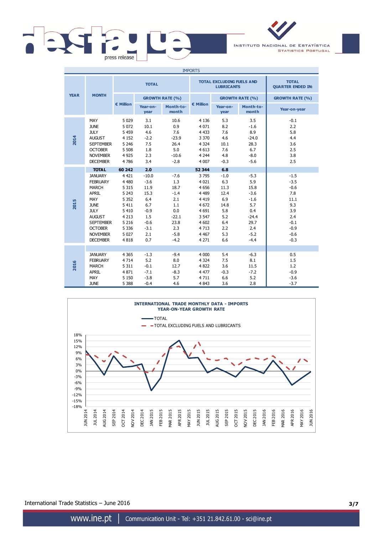

INSTITUTO NACIONAL DE ESTATÍSTICA **STATISTICS PORTUGAL** 

| <b>IMPORTS</b> |                                                                                                                                                                                                                     |                                                                                                                                        |                                                                                                           |                                                                                                    |                                                                                                                                       |                                                                                               |                                                                                                       |                                                                                                        |
|----------------|---------------------------------------------------------------------------------------------------------------------------------------------------------------------------------------------------------------------|----------------------------------------------------------------------------------------------------------------------------------------|-----------------------------------------------------------------------------------------------------------|----------------------------------------------------------------------------------------------------|---------------------------------------------------------------------------------------------------------------------------------------|-----------------------------------------------------------------------------------------------|-------------------------------------------------------------------------------------------------------|--------------------------------------------------------------------------------------------------------|
|                |                                                                                                                                                                                                                     | <b>TOTAL</b>                                                                                                                           |                                                                                                           |                                                                                                    |                                                                                                                                       | <b>TOTAL EXCLUDING FUELS AND</b><br><b>LUBRICANTS</b>                                         | <b>TOTAL</b><br><b>QUARTER ENDED IN:</b>                                                              |                                                                                                        |
| <b>YEAR</b>    | <b>MONTH</b>                                                                                                                                                                                                        |                                                                                                                                        | <b>GROWTH RATE (%)</b>                                                                                    |                                                                                                    |                                                                                                                                       |                                                                                               | <b>GROWTH RATE (%)</b>                                                                                | <b>GROWTH RATE (%)</b>                                                                                 |
|                |                                                                                                                                                                                                                     | € Million                                                                                                                              | Year-on-<br>year                                                                                          | Month-to-<br>month                                                                                 | € Million                                                                                                                             | Year-on-<br>year                                                                              | Month-to-<br>month                                                                                    | Year-on-year                                                                                           |
| 2014           | MAY<br><b>JUNE</b><br><b>JULY</b><br><b>AUGUST</b><br><b>SEPTEMBER</b><br><b>OCTOBER</b><br><b>NOVEMBER</b><br><b>DECEMBER</b>                                                                                      | 5 0 2 9<br>5 0 7 2<br>5 4 5 9<br>4 1 5 2<br>5 2 4 6<br>5 5 0 8<br>4 9 2 5<br>4786                                                      | 3.1<br>10.1<br>4.6<br>$-2.2$<br>7.5<br>1.8<br>2.3<br>3.4                                                  | 10.6<br>0.9<br>7.6<br>$-23.9$<br>26.4<br>5.0<br>$-10.6$<br>$-2.8$                                  | 4 1 3 6<br>4 0 7 1<br>4 4 3 3<br>3 3 7 0<br>4 3 2 4<br>4 6 1 3<br>4 2 4 4<br>4 0 0 7                                                  | 5.3<br>8.2<br>7.6<br>4.6<br>10.1<br>7.6<br>4.8<br>$-0.3$                                      | 3.5<br>$-1.6$<br>8.9<br>$-24.0$<br>28.3<br>6.7<br>$-8.0$<br>$-5.6$                                    | $-0.1$<br>2.2<br>5.8<br>4.4<br>3.6<br>2.5<br>3.8<br>2.5                                                |
| 2015           | <b>TOTAL</b><br><b>JANUARY</b><br><b>FEBRUARY</b><br><b>MARCH</b><br><b>APRIL</b><br>MAY<br><b>JUNE</b><br><b>JULY</b><br><b>AUGUST</b><br><b>SEPTEMBER</b><br><b>OCTOBER</b><br><b>NOVEMBER</b><br><b>DECEMBER</b> | 60 242<br>4 4 2 1<br>4 4 8 0<br>5 3 1 5<br>5 2 4 3<br>5 3 5 2<br>5 4 1 1<br>5 4 1 0<br>4 2 1 3<br>5 2 1 6<br>5 3 3 6<br>5 0 27<br>4818 | 2.0<br>$-10.0$<br>$-3.6$<br>11.9<br>15.3<br>6.4<br>6.7<br>$-0.9$<br>1.5<br>$-0.6$<br>$-3.1$<br>2.1<br>0.7 | $-7.6$<br>1.3<br>18.7<br>$-1.4$<br>2.1<br>1.1<br>0.0<br>$-22.1$<br>23.8<br>2.3<br>$-5.8$<br>$-4.2$ | 52 344<br>3795<br>4 0 2 1<br>4 6 5 6<br>4 4 8 9<br>4 4 1 9<br>4 6 7 2<br>4 6 9 1<br>3 5 4 7<br>4 602<br>4 7 1 3<br>4 4 6 7<br>4 2 7 1 | 6.8<br>$-1.0$<br>6.3<br>11.3<br>12.4<br>6.9<br>14.8<br>5.8<br>5.2<br>6.4<br>2.2<br>5.3<br>6.6 | $-5.3$<br>5.9<br>15.8<br>$-3.6$<br>$-1.6$<br>5.7<br>0.4<br>$-24.4$<br>29.7<br>2.4<br>$-5.2$<br>$-4.4$ | $-1.5$<br>$-3.5$<br>$-0.6$<br>7.8<br>11.1<br>9.3<br>3.9<br>2.4<br>$-0.1$<br>$-0.9$<br>$-0.6$<br>$-0.3$ |
| 2016           | <b>JANUARY</b><br><b>FEBRUARY</b><br><b>MARCH</b><br><b>APRIL</b><br>MAY<br><b>JUNE</b>                                                                                                                             | 4 3 6 5<br>4 7 1 4<br>5 3 1 1<br>4 8 7 1<br>5 1 5 0<br>5 3 8 8                                                                         | $-1.3$<br>5.2<br>$-0.1$<br>$-7.1$<br>$-3.8$<br>$-0.4$                                                     | $-9.4$<br>8.0<br>12.7<br>$-8.3$<br>5.7<br>4.6                                                      | 4 0 0 0<br>4 3 2 4<br>4 8 22<br>4 4 7 7<br>4711<br>4 8 4 3                                                                            | 5.4<br>7.5<br>3.6<br>$-0.3$<br>6.6<br>3.6                                                     | $-6.3$<br>8.1<br>11.5<br>$-7.2$<br>5.2<br>2.8                                                         | 0.5<br>1.5<br>1.2<br>$-0.9$<br>$-3.6$<br>$-3.7$                                                        |



International Trade Statistics – June 2016 **3/7**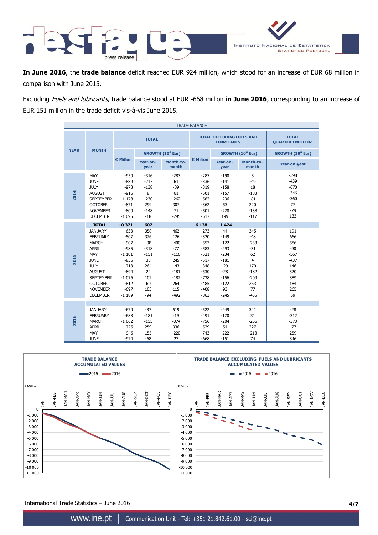

**In June 2016**, the **trade balance** deficit reached EUR 924 million, which stood for an increase of EUR 68 million in comparison with June 2015.

Excluding Fuels and lubricants, trade balance stood at EUR -668 million **in June 2016**, corresponding to an increase of EUR 151 million in the trade deficit vis-à-vis June 2015.

| <b>TRADE BALANCE</b> |                                                                                                                                                                                                            |                                                                                                                         |                                                                                         |                                                                                                   |                                                                                                                      |                                                                                                            |                                                                                                           |                                                                                         |
|----------------------|------------------------------------------------------------------------------------------------------------------------------------------------------------------------------------------------------------|-------------------------------------------------------------------------------------------------------------------------|-----------------------------------------------------------------------------------------|---------------------------------------------------------------------------------------------------|----------------------------------------------------------------------------------------------------------------------|------------------------------------------------------------------------------------------------------------|-----------------------------------------------------------------------------------------------------------|-----------------------------------------------------------------------------------------|
|                      | <b>MONTH</b>                                                                                                                                                                                               |                                                                                                                         | <b>TOTAL</b>                                                                            |                                                                                                   |                                                                                                                      | <b>TOTAL EXCLUDING FUELS AND</b><br><b>LUBRICANTS</b>                                                      | <b>TOTAL</b><br><b>QUARTER ENDED IN:</b>                                                                  |                                                                                         |
| <b>YEAR</b>          |                                                                                                                                                                                                            |                                                                                                                         |                                                                                         | GROWTH (10 <sup>6</sup> Eur)                                                                      |                                                                                                                      |                                                                                                            | GROWTH (10 <sup>6</sup> Eur)                                                                              | GROWTH (10 <sup>6</sup> Eur)                                                            |
|                      |                                                                                                                                                                                                            | € Million                                                                                                               | Year-on-<br>year                                                                        | Month-to-<br>month                                                                                | € Million                                                                                                            | Year-on-<br>year                                                                                           | Month-to-<br>month                                                                                        | Year-on-year                                                                            |
| 2014                 | <b>MAY</b><br><b>JUNE</b><br><b>JULY</b><br><b>AUGUST</b><br><b>SEPTEMBER</b><br><b>OCTOBER</b><br><b>NOVEMBER</b><br><b>DECEMBER</b>                                                                      | $-950$<br>$-889$<br>$-978$<br>$-916$<br>$-1178$<br>$-871$<br>$-800$<br>$-1095$                                          | $-316$<br>$-217$<br>$-138$<br>8<br>$-230$<br>299<br>$-148$<br>$-18$                     | $-283$<br>61<br>$-89$<br>61<br>$-262$<br>307<br>71<br>$-295$                                      | $-287$<br>$-336$<br>$-319$<br>$-501$<br>$-582$<br>$-362$<br>$-501$<br>$-617$                                         | $-190$<br>$-141$<br>$-158$<br>$-157$<br>$-236$<br>53<br>$-220$<br>199                                      | 3<br>$-49$<br>18<br>$-183$<br>$-81$<br>220<br>$-138$<br>$-117$                                            | $-398$<br>$-439$<br>$-670$<br>$-346$<br>$-360$<br>77<br>$-79$<br>133                    |
|                      | <b>TOTAL</b>                                                                                                                                                                                               | $-10371$                                                                                                                | 607                                                                                     |                                                                                                   | $-6138$                                                                                                              | $-1424$                                                                                                    |                                                                                                           |                                                                                         |
| 2015                 | <b>JANUARY</b><br><b>FEBRUARY</b><br><b>MARCH</b><br><b>APRIL</b><br><b>MAY</b><br><b>JUNE</b><br><b>JULY</b><br><b>AUGUST</b><br><b>SEPTEMBER</b><br><b>OCTOBER</b><br><b>NOVEMBER</b><br><b>DECEMBER</b> | $-633$<br>$-507$<br>$-907$<br>$-985$<br>$-1101$<br>$-856$<br>$-713$<br>$-894$<br>$-1076$<br>$-812$<br>$-697$<br>$-1189$ | 358<br>326<br>$-98$<br>$-318$<br>$-151$<br>33<br>264<br>22<br>102<br>60<br>103<br>$-94$ | 462<br>126<br>$-400$<br>$-77$<br>$-116$<br>245<br>143<br>$-181$<br>$-182$<br>264<br>115<br>$-492$ | $-273$<br>$-320$<br>$-553$<br>$-583$<br>$-521$<br>$-517$<br>$-348$<br>$-530$<br>$-738$<br>$-485$<br>$-408$<br>$-863$ | 44<br>$-149$<br>$-122$<br>$-293$<br>$-234$<br>$-181$<br>$-29$<br>$-28$<br>$-156$<br>$-122$<br>93<br>$-245$ | 345<br>$-48$<br>$-233$<br>$-31$<br>62<br>$\overline{4}$<br>170<br>$-182$<br>$-209$<br>253<br>77<br>$-455$ | 191<br>666<br>586<br>$-90$<br>$-567$<br>$-437$<br>146<br>320<br>389<br>184<br>265<br>69 |
| 2016                 | <b>JANUARY</b><br><b>FEBRUARY</b><br><b>MARCH</b><br>APRIL<br>MAY<br><b>JUNE</b>                                                                                                                           | $-670$<br>$-688$<br>$-1062$<br>$-726$<br>$-946$<br>$-924$                                                               | $-37$<br>$-181$<br>$-155$<br>259<br>155<br>$-68$                                        | 519<br>$-19$<br>$-374$<br>336<br>$-220$<br>23                                                     | $-522$<br>$-491$<br>$-756$<br>$-529$<br>$-743$<br>$-668$                                                             | $-249$<br>$-170$<br>$-204$<br>54<br>$-222$<br>$-151$                                                       | 341<br>31<br>$-266$<br>227<br>$-213$<br>74                                                                | $-28$<br>$-312$<br>$-373$<br>$-77$<br>259<br>346                                        |



International Trade Statistics – June 2016 **4/7**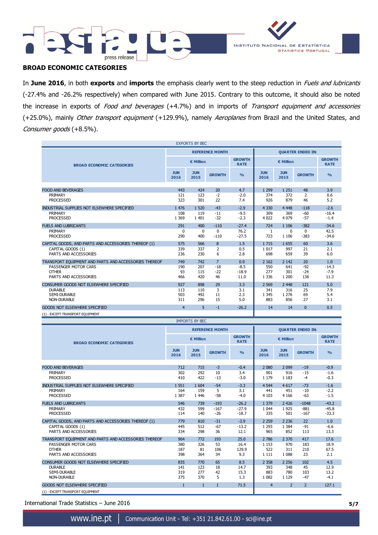



# **BROAD ECONOMIC CATEGORIES**

In **June 2016**, in both **exports** and **imports** the emphasis clearly went to the steep reduction in Fuels and lubricants (-27.4% and -26.2% respectively) when compared with June 2015. Contrary to this outcome, it should also be noted the increase in exports of Food and beverages (+4.7%) and in imports of Transport equipment and accessories (+25.0%), mainly Other transport equipment (+129.9%), namely Aeroplanes from Brazil and the United States, and Consumer goods (+8.5%).

| <b>EXPORTS BY BEC</b>                                 |                    |                            |                        |               |                    |                    |               |                              |
|-------------------------------------------------------|--------------------|----------------------------|------------------------|---------------|--------------------|--------------------|---------------|------------------------------|
| <b>BROAD ECONOMIC CATEGORIES</b>                      |                    |                            | <b>REFERENCE MONTH</b> |               |                    |                    |               |                              |
|                                                       |                    | <b>GROWTH</b><br>€ Million |                        |               | € Million          |                    |               | <b>GROWTH</b><br><b>RATE</b> |
|                                                       | <b>JUN</b><br>2016 | <b>JUN</b><br>2015         | <b>GROWTH</b>          | $\frac{0}{0}$ | <b>JUN</b><br>2016 | <b>JUN</b><br>2015 | <b>GROWTH</b> | $\frac{9}{6}$                |
| <b>FOOD AND BEVERAGES</b>                             | 443                | 424                        | 20                     | 4.7           | 1 2 9 9            | 1 2 5 1            | 48            | 3.9                          |
|                                                       |                    |                            |                        |               |                    |                    |               |                              |
| PRIMARY                                               | 121                | 123                        | $-2$                   | $-2.0$        | 374                | 372                | 2             | 0.6                          |
| <b>PROCESSED</b>                                      | 323                | 301                        | 22                     | 7.4           | 926                | 879                | 46            | 5.2                          |
| INDUSTRIAL SUPPLIES NOT ELSEWHERE SPECIFIED           | 1 4 7 6            | 1 5 2 0                    | $-43$                  | $-2.9$        | 4 3 3 0            | 4 4 4 8            | $-118$        | $-2.6$                       |
| PRIMARY                                               | 108                | 119                        | $-11$                  | $-9.5$        | 309                | 369                | $-60$         | $-16.4$                      |
| <b>PROCESSED</b>                                      | 1 3 6 9            | 1 4 0 1                    | $-32$                  | $-2.3$        | 4 0 2 2            | 4 0 7 9            | $-57$         | $-1.4$                       |
|                                                       |                    |                            |                        |               |                    |                    |               |                              |
| <b>FUELS AND LUBRICANTS</b>                           | 291                | 400                        | $-110$                 | $-27.4$       | 724                | 1 1 0 6            | $-382$        | $-34.6$                      |
| PRIMARY                                               | $\mathbf{0}$       | $\Omega$                   | $\Omega$               | 76.2          | 1                  | $\Omega$           | $\Omega$      | 42.5                         |
| <b>PROCESSED</b>                                      | 290                | 400                        | $-110$                 | $-27.5$       | 723                | 1 1 0 6            | $-383$        | $-34.6$                      |
| CAPITAL GOODS, AND PARTS AND ACCESSORIES THEREOF (1)  | 575                | 566                        | 8                      | 1.5           | 1 7 1 5            | 1655               | 60            | 3.6                          |
| CAPITAL GOODS (1)                                     | 339                | 337                        | 2                      | 0.5           | 1 0 1 7            | 997                | 21            | 2.1                          |
| PARTS AND ACCESSORIES                                 | 236                | 230                        | 6                      | 2.8           | 698                | 659                | 39            | 6.0                          |
| TRANSPORT EQUIPMENT AND PARTS AND ACCESSORIES THEREOF | 749                | 742                        | $\overline{7}$         | 0.9           | 2 1 6 2            | 2 1 4 2            | 20            | 1.0                          |
| PASSENGER MOTOR CARS                                  | 190                | 207                        | $-18$                  | $-8.5$        | 550                | 641                | $-92$         | $-14.3$                      |
| <b>OTHER</b>                                          | 93                 | 115                        | $-22$                  | $-18.9$       | 277                | 301                | $-24$         | $-7.9$                       |
| PARTS AND ACCESSORIES                                 | 466                | 420                        | 46                     | 11.0          | 1 3 3 6            | 1 200              | 136           | 11.3                         |
|                                                       |                    |                            |                        |               |                    |                    |               |                              |
| CONSUMER GOODS NOT ELSEWHERE SPECIFIED                | 927                | 898                        | 29                     | 3.3           | 2 5 6 9            | 2 4 4 8            | 121           | 5.0                          |
| <b>DURABLE</b>                                        | 113                | 110                        | 3                      | 3.1           | 341                | 316                | 25            | 7.9                          |
| <b>SEMI-DURABLE</b>                                   | 503                | 492                        | 11                     | 2.3           | 1 3 4 5            | 1 2 7 6            | 69            | 5.4                          |
| <b>NON-DURABLE</b>                                    | 311                | 296                        | 15                     | 5.0           | 883                | 856                | 27            | 3.1                          |
| GOODS NOT ELSEWHERE SPECIFIED                         | $\overline{4}$     | 5                          | $-1$                   | $-26.2$       | 14                 | 14                 | $\Omega$      | 0.5                          |
| (1) - EXCEPT TRANSPORT EQUIPMENT                      |                    |                            |                        |               |                    |                    |               |                              |

| <b>IMPORTS BY BEC</b>                                 |                    |                    |                        |                              |                          |                    |                |                              |
|-------------------------------------------------------|--------------------|--------------------|------------------------|------------------------------|--------------------------|--------------------|----------------|------------------------------|
|                                                       |                    |                    | <b>REFERENCE MONTH</b> |                              | <b>OUARTER ENDED IN:</b> |                    |                |                              |
| <b>BROAD ECONOMIC CATEGORIES</b>                      |                    | € Million          |                        | <b>GROWTH</b><br><b>RATE</b> | € Million                |                    |                | <b>GROWTH</b><br><b>RATE</b> |
|                                                       | <b>JUN</b><br>2016 | <b>JUN</b><br>2015 | <b>GROWTH</b>          | $\frac{0}{0}$                | <b>JUN</b><br>2016       | <b>JUN</b><br>2015 | <b>GROWTH</b>  | $\frac{9}{6}$                |
|                                                       | 712                | 715                | $-3$                   | $-0.4$                       |                          |                    | $-19$          | $-0.9$                       |
| <b>FOOD AND BEVERAGES</b>                             |                    |                    |                        |                              | 2 0 8 0                  | 2 0 9 9            |                |                              |
| PRIMARY                                               | 302                | 292                | 10                     | 3.4                          | 901                      | 916                | $-15$          | $-1.6$                       |
| <b>PROCESSED</b>                                      | 410                | 422                | $-13$                  | $-3.0$                       | 1 1 7 9                  | 1 1 8 3            | $-4$           | $-0.3$                       |
| INDUSTRIAL SUPPLIES NOT ELSEWHERE SPECIFIED           | 1 5 5 1            | 1 604              | $-54$                  | $-3.3$                       | 4 5 4 4                  | 4 6 1 7            | $-73$          | $-1.6$                       |
| PRIMARY                                               | 164                | 159                | 5                      | 3.1                          | 441                      | 451                | $-10$          | $-2.2$                       |
| <b>PROCESSED</b>                                      | 1 3 8 7            | 1 4 4 6            | $-58$                  | $-4.0$                       | 4 1 0 3                  | 4 1 6 6            | $-63$          | $-1.5$                       |
|                                                       |                    |                    |                        |                              |                          |                    |                |                              |
| <b>FUELS AND LUBRICANTS</b>                           | 546                | 739                | $-193$                 | $-26.2$                      | 1 3 7 9                  | 2 4 2 6            | $-1048$        | $-43.2$                      |
| PRIMARY                                               | 432                | 599                | $-167$                 | $-27.9$                      | 1 0 4 4                  | 1925               | $-881$         | $-45.8$                      |
| <b>PROCESSED</b>                                      | 114                | 140                | $-26$                  | $-18.7$                      | 335                      | 501                | $-167$         | $-33.3$                      |
| CAPITAL GOODS, AND PARTS AND ACCESSORIES THEREOF (1)  | 779                | 810                | $-31$                  | $-3.9$                       | 2 2 5 9                  | 2 2 3 6            | 22             | 1.0                          |
| CAPITAL GOODS (1)                                     | 445                | 512                | $-67$                  | $-13.2$                      | 1 2 9 3                  | 1 3 8 4            | $-91$          | $-6.6$                       |
| PARTS AND ACCESSORIES                                 | 334                | 298                | 36                     | 12.1                         | 965                      | 852                | 113            | 13.3                         |
|                                                       |                    |                    |                        |                              |                          |                    |                |                              |
| TRANSPORT EQUIPMENT AND PARTS AND ACCESSORIES THEREOF | 964                | 772                | 193                    | 25.0                         | 2 786                    | 2 3 7 0            | 417            | 17.6                         |
| PASSENGER MOTOR CARS                                  | 380                | 326                | 53                     | 16.4                         | 1 1 5 3                  | 970                | 183            | 18.9                         |
| <b>OTHER</b>                                          | 187                | 81                 | 106                    | 129.9                        | 522                      | 311                | 210            | 67.5                         |
| PARTS AND ACCESSORIES                                 | 398                | 364                | 34                     | 9.3                          | 1 1 1 1                  | 1 0 8 8            | 23             | 2.1                          |
|                                                       |                    |                    |                        |                              |                          |                    |                |                              |
| CONSUMER GOODS NOT ELSEWHERE SPECIFIED                | 835                | 770                | 65                     | 8.5                          | 2 3 5 8                  | 2 2 5 6            | 102            | 4.5                          |
| <b>DURABLE</b>                                        | 141                | 123                | 18                     | 14.7                         | 393                      | 348                | 45             | 12.9                         |
| <b>SEMI-DURABLE</b>                                   | 319                | 277                | 42                     | 15.3                         | 883                      | 780                | 103            | 13.2                         |
| <b>NON-DURABLE</b>                                    | 375                | 370                | 5                      | 1.3                          | 1 0 8 2                  | 1 1 2 9            | $-47$          | $-4.1$                       |
| <b>GOODS NOT ELSEWHERE SPECIFIED</b>                  | $\mathbf{1}$       | $\mathbf{1}$       | $\mathbf{1}$           | 71.5                         | $\overline{4}$           | $\overline{2}$     | $\overline{2}$ | 127.1                        |
| (1) - EXCEPT TRANSPORT EOUIPMENT                      |                    |                    |                        |                              |                          |                    |                |                              |

International Trade Statistics – June 2016 **5/7**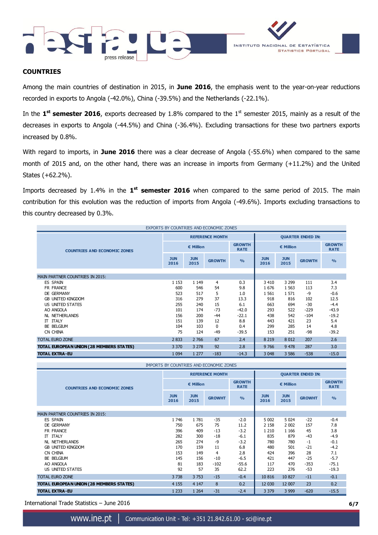



### **COUNTRIES**

Among the main countries of destination in 2015, in **June 2016**, the emphasis went to the year-on-year reductions recorded in exports to Angola (-42.0%), China (-39.5%) and the Netherlands (-22.1%).

In the 1<sup>st</sup> semester 2016, exports decreased by 1.8% compared to the 1<sup>st</sup> semester 2015, mainly as a result of the decreases in exports to Angola (-44.5%) and China (-36.4%). Excluding transactions for these two partners exports increased by 0.8%.

With regard to imports, in **June 2016** there was a clear decrease of Angola (-55.6%) when compared to the same month of 2015 and, on the other hand, there was an increase in imports from Germany (+11.2%) and the United States (+62.2%).

Imports decreased by 1.4% in the 1<sup>st</sup> semester 2016 when compared to the same period of 2015. The main contribution for this evolution was the reduction of imports from Angola (-49.6%). Imports excluding transactions to this country decreased by 0.3%.

| EXPORTS BY COUNTRIES AND ECONOMIC ZONES  |                    |                    |                        |                              |                    |                          |               |                              |
|------------------------------------------|--------------------|--------------------|------------------------|------------------------------|--------------------|--------------------------|---------------|------------------------------|
|                                          |                    |                    | <b>REFERENCE MONTH</b> |                              |                    | <b>QUARTER ENDED IN:</b> |               |                              |
| <b>COUNTRIES AND ECONOMIC ZONES</b>      | € Million          |                    |                        | <b>GROWTH</b><br><b>RATE</b> | € Million          |                          |               | <b>GROWTH</b><br><b>RATE</b> |
|                                          | <b>JUN</b><br>2016 | <b>JUN</b><br>2015 | <b>GROWTH</b>          | O <sub>0</sub>               | <b>JUN</b><br>2016 | <b>JUN</b><br>2015       | <b>GROWTH</b> | O <sub>0</sub>               |
|                                          |                    |                    |                        |                              |                    |                          |               |                              |
| <b>MAIN PARTNER COUNTRIES IN 2015:</b>   |                    |                    |                        |                              |                    |                          |               |                              |
| <b>ES SPAIN</b>                          | 1 1 5 3            | 1 1 4 9            | 4                      | 0.3                          | 3 4 1 0            | 3 2 9 9                  | 111           | 3.4                          |
| FR FRANCE                                | 600                | 546                | 54                     | 9.8                          | 1676               | 1 5 6 3                  | 113           | 7.3                          |
| DE GERMANY                               | 523                | 517                | 5                      | 1.0                          | 1 5 6 1            | 1571                     | -9            | $-0.6$                       |
| <b>GB UNITED KINGDOM</b>                 | 316                | 279                | 37                     | 13.3                         | 918                | 816                      | 102           | 12.5                         |
| US UNITED STATES                         | 255                | 240                | 15                     | 6.1                          | 663                | 694                      | $-30$         | $-4.4$                       |
| AO ANGOLA                                | 101                | 174                | $-73$                  | $-42.0$                      | 293                | 522                      | $-229$        | $-43.9$                      |
| <b>NL NETHERLANDS</b>                    | 156                | 200                | $-44$                  | $-22.1$                      | 438                | 542                      | $-104$        | $-19.2$                      |
| <b>IT ITALY</b>                          | 151                | 139                | 12                     | 8.8                          | 443                | 421                      | 23            | 5.4                          |
| BE BELGIUM                               | 104                | 103                | $\Omega$               | 0.4                          | 299                | 285                      | 14            | 4.8                          |
| CN CHINA                                 | 75                 | 124                | $-49$                  | $-39.5$                      | 153                | 251                      | -98           | $-39.2$                      |
| <b>TOTAL EURO ZONE</b>                   | 2 8 3 3            | 2 7 6 6            | 67                     | 2.4                          | 8 2 1 9            | 8 0 1 2                  | 207           | 2.6                          |
| TOTAL EUROPEAN UNION (28 MEMBERS STATES) | 3 3 7 0            | 3 2 7 8            | 92                     | 2.8                          | 9766               | 9 4 7 8                  | 287           | 3.0                          |
| <b>TOTAL EXTRA-EU</b>                    | 1 0 9 4            | 1 277              | $-183$                 | $-14.3$                      | 3 0 48             | 3 5 8 6                  | $-538$        | $-15.0$                      |

**GROWTH RATE GROWTH RATE JUN 2016 JUN <sup>2015</sup> GROWHT % JUN 2016 JUN <sup>2015</sup> GROWHT %** MAIN PARTNER COUNTRIES IN 2015: ES SPAIN 1 746 1 781 -35 -2.0 5 002 5 024 -22 -0.4 DE GERMANY 750 675 75 11.2 2 158 2 002 157 7.8 FR FRANCE 396 409 -13 -3.2 1 210 1 166 45 3.8 IT ITALY 282 300 -18 -6.1 835 879 -43 -4.9 NL NETHERLANDS 265 274 -9 -3.2 780 780 -1 -0.1 **GB UNITED KINGDOM** CN CHINA 153 149 4 2.8 424 396 28 7.1 BE BELGIUM 145 156 -10 -6.5 421 447 -25 -5.7 AO ANGOLA 81 183 -102 -55.6 117 470 -353 -75.1 US UNITED STATES 92 57 35 62.2 223 276 -53 -19.3 TOTAL EURO ZONE 2000 2000 2000 2000 3 738 3 753 -15 -0.4 10 816 10 827 -11 -0.1 **TOTAL EUROPEAN UNION (28 MEMBERS STATES)** 4 155 4 147 8 0.2 12 030 12 007 23 0.2 **TOTAL EXTRA-EU** 1233 1264 -31 -2.4 3379 3999 -620 -15.5 IMPORTS BY COUNTRIES AND ECONOMIC ZONES **COUNTRIES AND ECONOMIC ZONES REFERENCE MONTH**   $\parallel$  **QUARTER ENDED IN: € Million € Million**

International Trade Statistics – June 2016 **6/7**